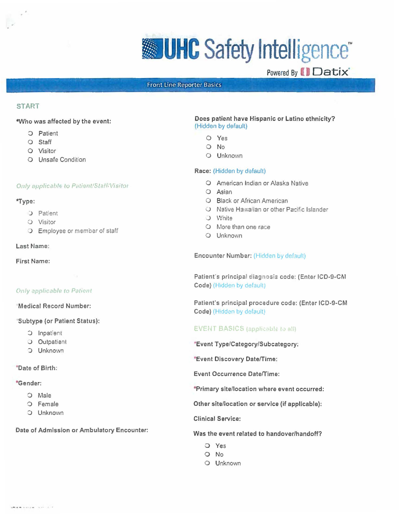# **WHC** Safety Intelligence<sup>\*</sup>

Powered By **II** Datix

# Front Line Reporter Basics

# **START**

# **-Who was affected by the event:**

- 0 Patient
- 0 Staff
- 0 Visitor
- 0 Unsafe Condition

# Only applicable to Patient/Staff/Visitor

# **"Type:**

- **J** Patient
- 0 Visitor
- **D** Employee or member of staff

# **Last Mame:**

**First Name:** 

# **Only applicable to Patient**

# Medical Record Number:

# Subtype (or Patient Status):

- C: Inpatient
- .J Outpatlent
- $D$  Unknown

# **"Date of Birth:**

# **•Gender:**

- 0 Male
- 0 Female
- :) Unknown

# **Date of Admission or Ambulatory Encounter:** Was the event related to handover/handoff?

# **Does patient have Hispanic or Latino ethnicity?**  (Hidden by default)

- 0 Yes
- 0 No
- 0 Unknown

# **Race:** (Hidden by default)

- 0 American Indian or Alaska Native
- 0 Asian
- 0 Black or African American
- u Native Hawaiian or other Pacific Islander
- .J White
- 0 More than one race
- 0 Unknown

Encounter Number: (Hidden by default)

Patient's principal diagnosis code: (Enter ICD-9-CM Code) (Hidden by default)

Patient's principal procadure coda: (Entar ICD-9-CM Code) (Hidden by default)

# **EVENT BASICS** (applicable to all)

\*Event Type/Category/Subcategory:

•Event Discovery Date/Time :

Event Occurrence Date/Time:

•Primary site/location where event occurred:

Other site/location or service (if applicable) :

Clinical Service:

- O Yes
- 0 No
- 0 Unknown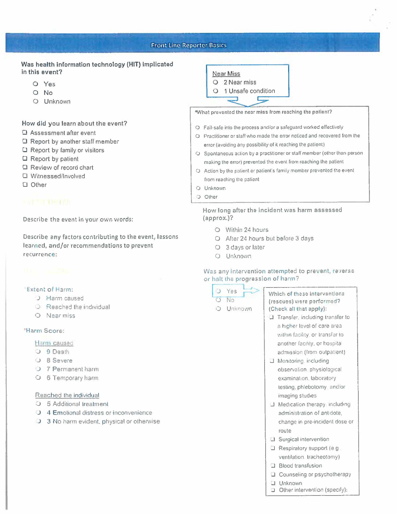# Front Linc Reporter Basics

# Was health information technology (HIT) implicated in this event?

- O Yes
- 0 No
- 0 Unknown

How did you learn about the event?

- 0 Assessment after event
- □ Report by another staff member
- $\Box$  Report by family or visitors
- 0 Report by patient
- □ Review of record chart
- 0 Witnessed /Involved
- D Other

Describe the event in your own words:

Describe any factors contributing to the event, lessons learned, and/or recommendations to prevent recurrence:

# **Extent of Harm:**

- J Harm caused
- $O$  Reached the individual
- 0 Near miss

### 'Harm Score:

# Harm caused

- O 9 Death
- J 8 Severe
- O 7 Permanent harm
- 0 6 Temporary harm

### Reached the individual

- O 5 Additional treatment
- J 4 Em otional distress or inconvenience
- $\bigcup$  3 No harm evident, physical or otherwise



\*What prevented the near miss from reaching the patient?

- o Fail•safe into the process and/or a safeguard worked effectively
- O Practitioner or **staff** who made the error noticed and recovered from the error (avoiding any possibility of it reaching the patient)
- O Spontaneous action by a practitioner or staff member (other than person making the error) prevented the event from reaching the patient
- O Action by the patient or patient's family member prevented the event from reaching the patient
- 0 Unknown
- $\supset$  Other

How long afte; the incident was harm assessed (approx.)?

- 0 Within 24 hours
- 0 After 24 hours but before 3 days
- 0 3 days or later
- 0 Unknown

# Was any intervention attempted to prevent, reverse or halt the progression of harm?

- $O$  Yes 0 No
- O Unknown

Which of these interventions (rescues) were performed? (Check all that apply):

- **..I** Transfer including transfer to a higher level of care area vithin facility, or transfer to another facility, or hospital admission (from outpatient)
- $\Box$  Monitoring, including observation physiological examination, laboratory testing. phlebotomy and/or imaging studies
- J Medication therapy including administration of ant dote, change in pre•incident dose or route
- J Surgical intervention
- ..I Respiratory support (e g ventilation tracheotomy)
- **D.** Blood transfusion
- **Q** Counseling or psychotherapy
- ..I Unknown
	- Other intervention (specify):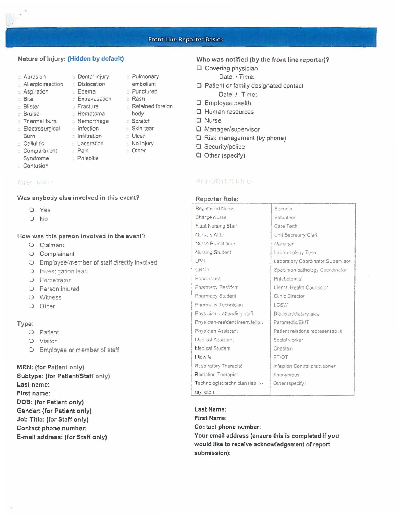# **Front Line Reporter Basics**

# Nature of Injury: (Hidden by default)

**Dental injury** 

- Abrasion
- Allergic reaction = Dislocation
- E Aspiration Edema
- Bite
- $=$  Blister
- : Bruise
- 
- Electrosurgical infection
- Burn
- : Cellulitis
- **Compartment**
- Syndrome
- Contusion
- 

### 信防! 位的!

# Was anybody else involved in this event?

- Pain

- Phlebitis

- O Yes
- U No

# How was this person involved in the event?

- O Claimant
- O Complainant
- O Employee/member of staff directly involved
- **3** Investigation lead
- J Perpetrator
- O Person injured
- O Witness
- J Other

# Type:

- O Patient
- O Visitor
- O Employee or member of staff

MRN: (for Patient only) Subtype: (for Patient/Staff only) Last name: First name: DOB: (for Patient only) Gender: (for Patient only) Job Title: (for Staff only) Contact phone number: E-mail address: (for Staff only)

# Who was notified (by the front line reporter)?

- □ Covering physician
	- Date: / Time:
- D Patient or family designated contact Date: / Time:
- □ Employee health
- D Human resources
- $\Box$  Nurse
- D Manager/supervisor
- D Risk management (by phone)
- □ Security/police
- □ Other (specify)

# 保田への取りを保有りも

### Reporter Role:

| Registered Nurse                 | Security                          |
|----------------------------------|-----------------------------------|
| Charde Nurse                     | Volunteer                         |
| Float Nursing Staff              | Care Tech                         |
| Nursa's Aida                     | Unit Secretary Clerk              |
| Nurse Practitioner               | Manager                           |
| Nursing Student                  | Labiradiolog, Tech                |
| LPN                              | Laboratory Coordinator Supervisor |
| <sup>6</sup> CRNA                | Specimen pathology Coordinator    |
| Pharmacist                       | Phlebotomis:                      |
| Pharmacy Resident                | Mental Health Counselor           |
| Pharmacy Student                 | Clinic Director                   |
| Pharmacy Technician              | LCSW                              |
| Physician - attending staff      | Dietician'dietary aide            |
| Physician-resident intern fellow | Paramedic/EMT                     |
| Physician Assistant              | Patient relations representative  |
| Medical Assistant                | Social worker                     |
| Medical Student                  | Chapla <sub>n</sub>               |
| Midwife                          | PT <sub>I</sub> OT                |
| Respiratory Therapist            | Infection Control pract toner     |
| Radiation Therapist              | Anonymous                         |
| Technologist technician (lab x-  | Other (specify)                   |
| ra/relc()                        |                                   |

Last Name: **First Name:** Contact phone number: Your email address (ensure this is completed if you would like to receive acknowledgement of report submission):

- Extravasation = Rash **Fracture** Retained foreign : Hematoma body E Thermal burn = Hemorrhage Scratch Skin tear c Infiltration **Ulcer Laceration** : No injury
	- Dther

c Pulmonary

embolism

**D** Punctured